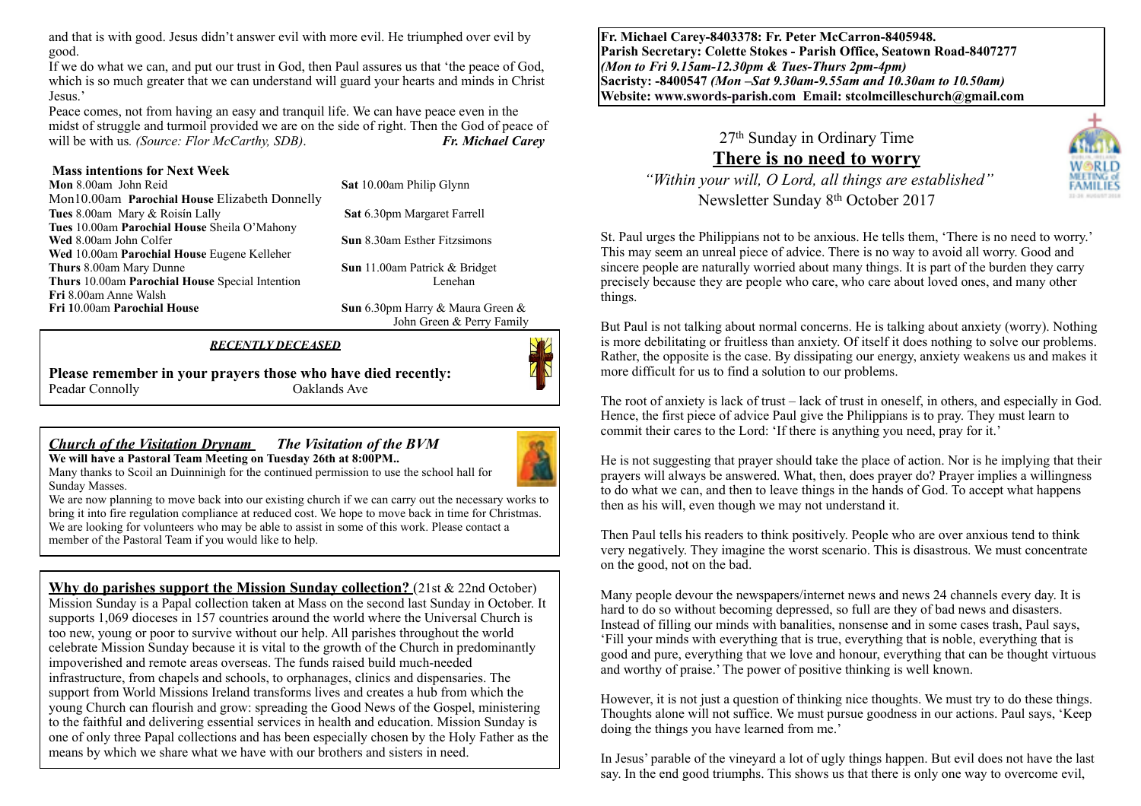and that is with good. Jesus didn't answer evil with more evil. He triumphed over evil by good.

If we do what we can, and put our trust in God, then Paul assures us that 'the peace of God, which is so much greater that we can understand will guard your hearts and minds in Christ Jesus.'

Peace comes, not from having an easy and tranquil life. We can have peace even in the midst of struggle and turmoil provided we are on the side of right. Then the God of peace of will be with us*. (Source: Flor McCarthy, SDB)*. *Fr. Michael Carey*

**Mass intentions for Next Week**<br>**Mon** 8.00am John Reid **Sat 10.00am Philip Glynn** Mon10.00am **Parochial House** Elizabeth Donnelly **Tues** 8.00am Mary & Roisín Lally **Sat** 6.30pm Margaret Farrell **Tues** 10.00am **Parochial House** Sheila O'Mahony **Wed 8.00am John Colfer <b>Sun 8.30am Esther Fitzsimons Wed** 10.00am **Parochial House** Eugene Kelleher **Thurs** 8.00am Mary Dunne **Sun 11.00am Patrick & Bridget**<br> **Thurs** 10.00am Parochial House Special Intention **Sun 11.00am Patrick & Bridget Thurs** 10.00am **Parochial House** Special Intention **Fri** 8.00am Anne Walsh **Fri 1**0.00am **Parochial House Sun** 6.30pm Harry & Maura Green &

John Green & Perry Family

#### *RECENTLY DECEASED*

**Please remember in your prayers those who have died recently:** Peadar Connolly **Oaklands** Ave

#### *Church of the Visitation Drynam**The Visitation of the BVM* **We will have a Pastoral Team Meeting on Tuesday 26th at 8:00PM..**

ß

Many thanks to Scoil an Duinninigh for the continued permission to use the school hall for Sunday Masses.



We are now planning to move back into our existing church if we can carry out the necessary works to bring it into fire regulation compliance at reduced cost. We hope to move back in time for Christmas. We are looking for volunteers who may be able to assist in some of this work. Please contact a member of the Pastoral Team if you would like to help.

**Why do parishes support the Mission Sunday collection?** (21st & 22nd October) Mission Sunday is a Papal collection taken at Mass on the second last Sunday in October. It supports 1,069 dioceses in 157 countries around the world where the Universal Church is too new, young or poor to survive without our help. All parishes throughout the world celebrate Mission Sunday because it is vital to the growth of the Church in predominantly impoverished and remote areas overseas. The funds raised build much-needed infrastructure, from chapels and schools, to orphanages, clinics and dispensaries. The support from World Missions Ireland transforms lives and creates a hub from which the young Church can flourish and grow: spreading the Good News of the Gospel, ministering to the faithful and delivering essential services in health and education. Mission Sunday is one of only three Papal collections and has been especially chosen by the Holy Father as the means by which we share what we have with our brothers and sisters in need.

**Fr. Michael Carey-8403378: Fr. Peter McCarron-8405948. Parish Secretary: Colette Stokes - Parish Office, Seatown Road-8407277**  *(Mon to Fri 9.15am-12.30pm & Tues-Thurs 2pm-4pm)*  **Sacristy: -8400547** *(Mon –Sat 9.30am-9.55am and 10.30am to 10.50am)* **Website: [www.swords-parish.com Email:](http://www.swords-parish.com%20%20email) stcolmcilleschurch@gmail.com**

> 27th Sunday in Ordinary Time **There is no need to worry**



 *"Within your will, O Lord, all things are established"*  Newsletter Sunday 8th October 2017

St. Paul urges the Philippians not to be anxious. He tells them, 'There is no need to worry.' This may seem an unreal piece of advice. There is no way to avoid all worry. Good and sincere people are naturally worried about many things. It is part of the burden they carry precisely because they are people who care, who care about loved ones, and many other things.

But Paul is not talking about normal concerns. He is talking about anxiety (worry). Nothing is more debilitating or fruitless than anxiety. Of itself it does nothing to solve our problems. Rather, the opposite is the case. By dissipating our energy, anxiety weakens us and makes it more difficult for us to find a solution to our problems.

The root of anxiety is lack of trust – lack of trust in oneself, in others, and especially in God. Hence, the first piece of advice Paul give the Philippians is to pray. They must learn to commit their cares to the Lord: 'If there is anything you need, pray for it.'

He is not suggesting that prayer should take the place of action. Nor is he implying that their prayers will always be answered. What, then, does prayer do? Prayer implies a willingness to do what we can, and then to leave things in the hands of God. To accept what happens then as his will, even though we may not understand it.

Then Paul tells his readers to think positively. People who are over anxious tend to think very negatively. They imagine the worst scenario. This is disastrous. We must concentrate on the good, not on the bad.

Many people devour the newspapers/internet news and news 24 channels every day. It is hard to do so without becoming depressed, so full are they of bad news and disasters. Instead of filling our minds with banalities, nonsense and in some cases trash, Paul says, 'Fill your minds with everything that is true, everything that is noble, everything that is good and pure, everything that we love and honour, everything that can be thought virtuous and worthy of praise.' The power of positive thinking is well known.

However, it is not just a question of thinking nice thoughts. We must try to do these things. Thoughts alone will not suffice. We must pursue goodness in our actions. Paul says, 'Keep doing the things you have learned from me.'

In Jesus' parable of the vineyard a lot of ugly things happen. But evil does not have the last say. In the end good triumphs. This shows us that there is only one way to overcome evil,